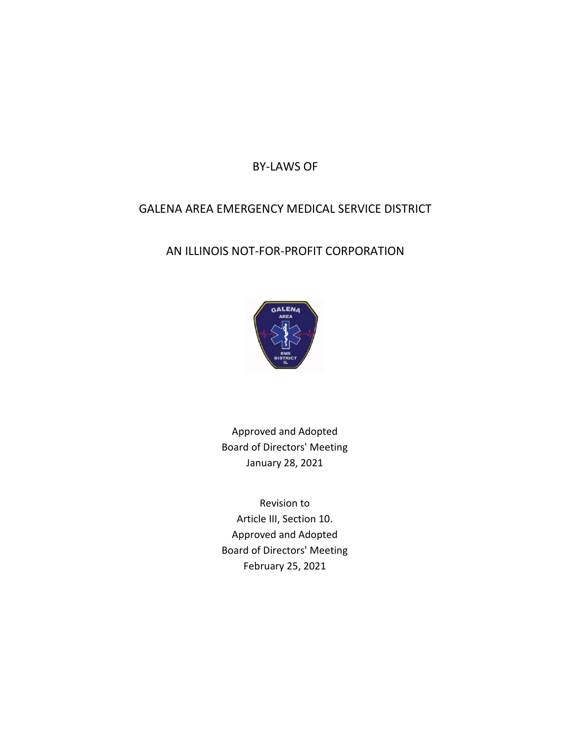BY-LAWS OF

# GALENA AREA EMERGENCY MEDICAL SERVICE DISTRICT

# AN ILLINOIS NOT-FOR-PROFIT CORPORATION



Approved and Adopted Board of Directors' Meeting January 28, 2021

Revision to Article III, Section 10. Approved and Adopted Board of Directors' Meeting February 25, 2021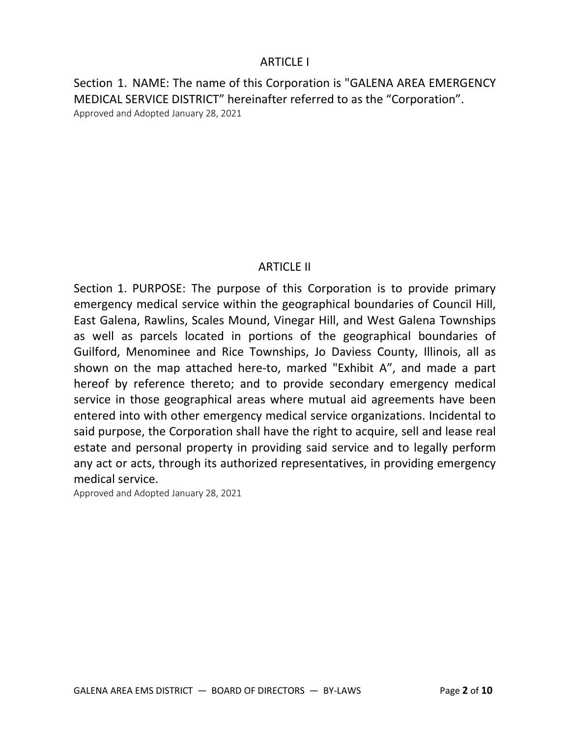### ARTICLE I

Section 1. NAME: The name of this Corporation is "GALENA AREA EMERGENCY MEDICAL SERVICE DISTRICT" hereinafter referred to as the "Corporation". Approved and Adopted January 28, 2021

# ARTICLE II

Section 1. PURPOSE: The purpose of this Corporation is to provide primary emergency medical service within the geographical boundaries of Council Hill, East Galena, Rawlins, Scales Mound, Vinegar Hill, and West Galena Townships as well as parcels located in portions of the geographical boundaries of Guilford, Menominee and Rice Townships, Jo Daviess County, Illinois, all as shown on the map attached here-to, marked "Exhibit A", and made a part hereof by reference thereto; and to provide secondary emergency medical service in those geographical areas where mutual aid agreements have been entered into with other emergency medical service organizations. Incidental to said purpose, the Corporation shall have the right to acquire, sell and lease real estate and personal property in providing said service and to legally perform any act or acts, through its authorized representatives, in providing emergency medical service.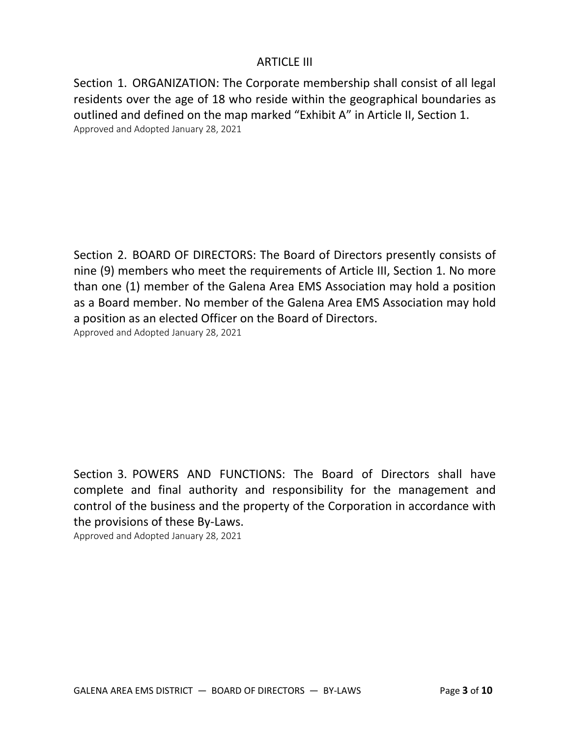### ARTICLE III

Section 1. ORGANIZATION: The Corporate membership shall consist of all legal residents over the age of 18 who reside within the geographical boundaries as outlined and defined on the map marked "Exhibit A" in Article II, Section 1. Approved and Adopted January 28, 2021

Section 2. BOARD OF DIRECTORS: The Board of Directors presently consists of nine (9) members who meet the requirements of Article III, Section 1. No more than one (1) member of the Galena Area EMS Association may hold a position as a Board member. No member of the Galena Area EMS Association may hold a position as an elected Officer on the Board of Directors. Approved and Adopted January 28, 2021

Section 3. POWERS AND FUNCTIONS: The Board of Directors shall have complete and final authority and responsibility for the management and control of the business and the property of the Corporation in accordance with the provisions of these By-Laws.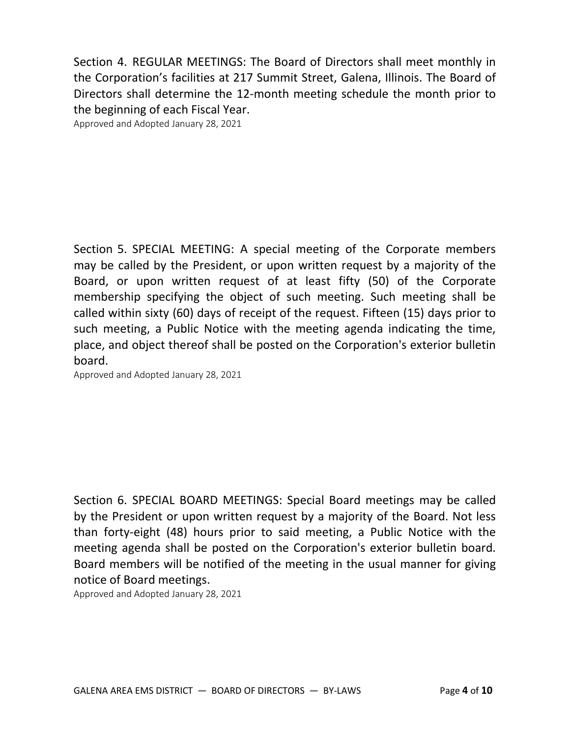Section 4. REGULAR MEETINGS: The Board of Directors shall meet monthly in the Corporation's facilities at 217 Summit Street, Galena, Illinois. The Board of Directors shall determine the 12-month meeting schedule the month prior to the beginning of each Fiscal Year.

Approved and Adopted January 28, 2021

Section 5. SPECIAL MEETING: A special meeting of the Corporate members may be called by the President, or upon written request by a majority of the Board, or upon written request of at least fifty (50) of the Corporate membership specifying the object of such meeting. Such meeting shall be called within sixty (60) days of receipt of the request. Fifteen (15) days prior to such meeting, a Public Notice with the meeting agenda indicating the time, place, and object thereof shall be posted on the Corporation's exterior bulletin board.

Approved and Adopted January 28, 2021

Section 6. SPECIAL BOARD MEETINGS: Special Board meetings may be called by the President or upon written request by a majority of the Board. Not less than forty-eight (48) hours prior to said meeting, a Public Notice with the meeting agenda shall be posted on the Corporation's exterior bulletin board. Board members will be notified of the meeting in the usual manner for giving notice of Board meetings.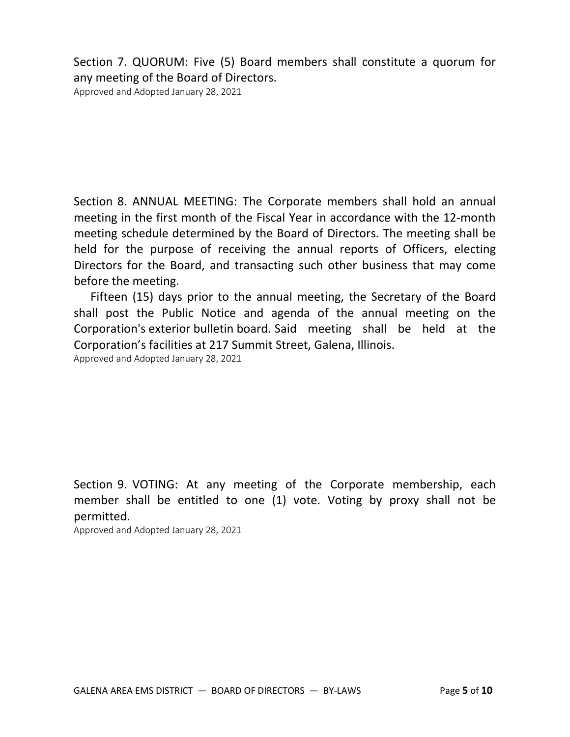Section 7. QUORUM: Five (5) Board members shall constitute a quorum for any meeting of the Board of Directors.

Approved and Adopted January 28, 2021

Section 8. ANNUAL MEETING: The Corporate members shall hold an annual meeting in the first month of the Fiscal Year in accordance with the 12-month meeting schedule determined by the Board of Directors. The meeting shall be held for the purpose of receiving the annual reports of Officers, electing Directors for the Board, and transacting such other business that may come before the meeting.

 Fifteen (15) days prior to the annual meeting, the Secretary of the Board shall post the Public Notice and agenda of the annual meeting on the Corporation's exterior bulletin board. Said meeting shall be held at the Corporation's facilities at 217 Summit Street, Galena, Illinois.

Approved and Adopted January 28, 2021

Section 9. VOTING: At any meeting of the Corporate membership, each member shall be entitled to one (1) vote. Voting by proxy shall not be permitted.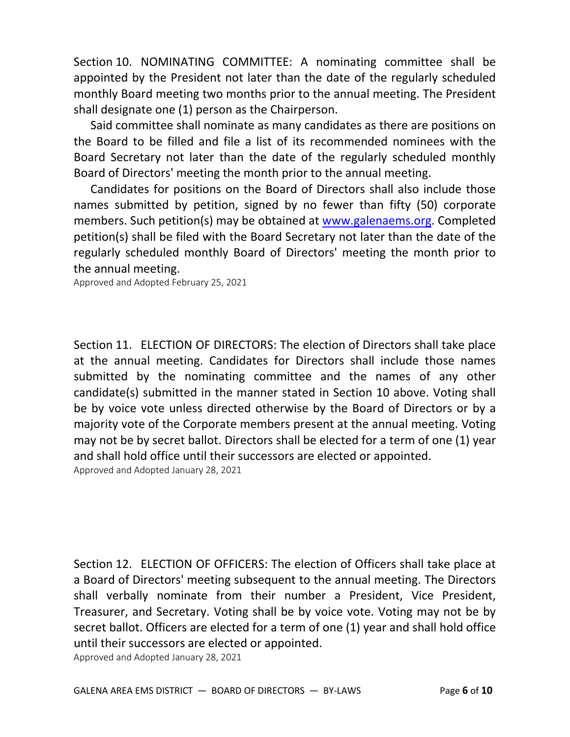Section 10. NOMINATING COMMITTEE: A nominating committee shall be appointed by the President not later than the date of the regularly scheduled monthly Board meeting two months prior to the annual meeting. The President shall designate one (1) person as the Chairperson.

 Said committee shall nominate as many candidates as there are positions on the Board to be filled and file a list of its recommended nominees with the Board Secretary not later than the date of the regularly scheduled monthly Board of Directors' meeting the month prior to the annual meeting.

 Candidates for positions on the Board of Directors shall also include those names submitted by petition, signed by no fewer than fifty (50) corporate members. Such petition(s) may be obtained at www.galenaems.org. Completed petition(s) shall be filed with the Board Secretary not later than the date of the regularly scheduled monthly Board of Directors' meeting the month prior to the annual meeting.

Approved and Adopted February 25, 2021

Section 11. ELECTION OF DIRECTORS: The election of Directors shall take place at the annual meeting. Candidates for Directors shall include those names submitted by the nominating committee and the names of any other candidate(s) submitted in the manner stated in Section 10 above. Voting shall be by voice vote unless directed otherwise by the Board of Directors or by a majority vote of the Corporate members present at the annual meeting. Voting may not be by secret ballot. Directors shall be elected for a term of one (1) year and shall hold office until their successors are elected or appointed. Approved and Adopted January 28, 2021

Section 12. ELECTION OF OFFICERS: The election of Officers shall take place at a Board of Directors' meeting subsequent to the annual meeting. The Directors shall verbally nominate from their number a President, Vice President, Treasurer, and Secretary. Voting shall be by voice vote. Voting may not be by secret ballot. Officers are elected for a term of one (1) year and shall hold office until their successors are elected or appointed.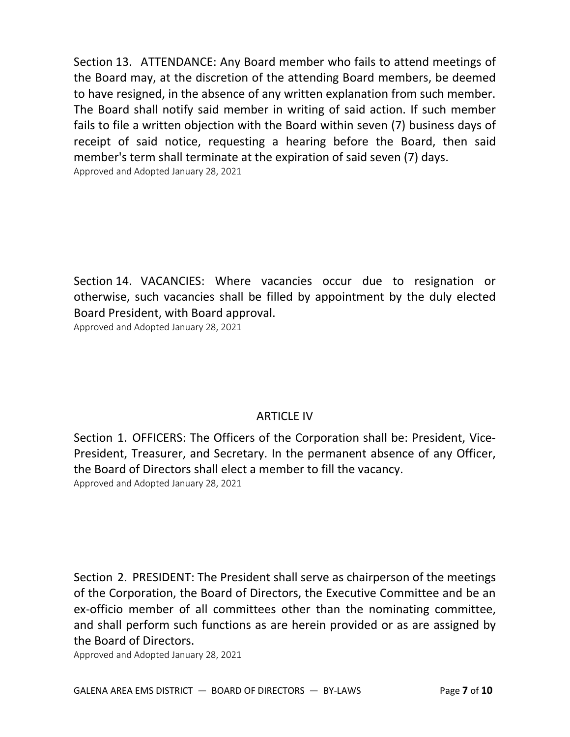Section 13. ATTENDANCE: Any Board member who fails to attend meetings of the Board may, at the discretion of the attending Board members, be deemed to have resigned, in the absence of any written explanation from such member. The Board shall notify said member in writing of said action. If such member fails to file a written objection with the Board within seven (7) business days of receipt of said notice, requesting a hearing before the Board, then said member's term shall terminate at the expiration of said seven (7) days. Approved and Adopted January 28, 2021

Section 14. VACANCIES: Where vacancies occur due to resignation or otherwise, such vacancies shall be filled by appointment by the duly elected Board President, with Board approval.

Approved and Adopted January 28, 2021

# ARTICLE IV

Section 1. OFFICERS: The Officers of the Corporation shall be: President, Vice-President, Treasurer, and Secretary. In the permanent absence of any Officer, the Board of Directors shall elect a member to fill the vacancy. Approved and Adopted January 28, 2021

Section 2. PRESIDENT: The President shall serve as chairperson of the meetings of the Corporation, the Board of Directors, the Executive Committee and be an ex-officio member of all committees other than the nominating committee, and shall perform such functions as are herein provided or as are assigned by the Board of Directors.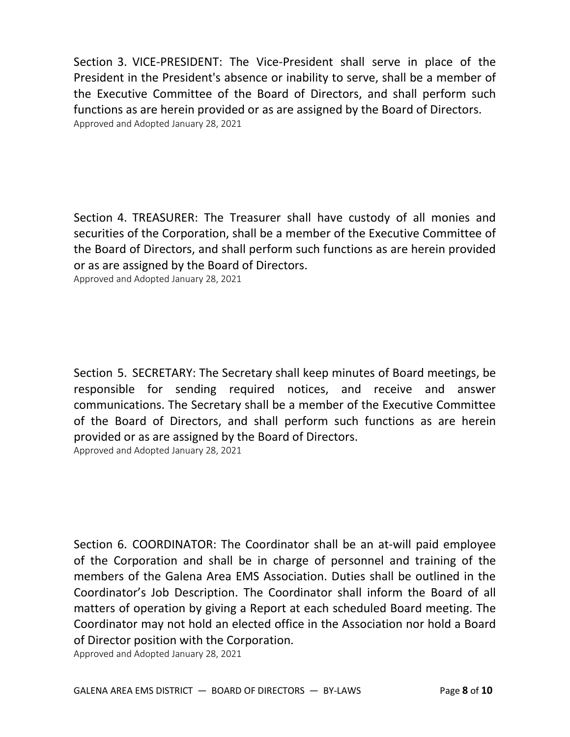Section 3. VICE-PRESIDENT: The Vice-President shall serve in place of the President in the President's absence or inability to serve, shall be a member of the Executive Committee of the Board of Directors, and shall perform such functions as are herein provided or as are assigned by the Board of Directors. Approved and Adopted January 28, 2021

Section 4. TREASURER: The Treasurer shall have custody of all monies and securities of the Corporation, shall be a member of the Executive Committee of the Board of Directors, and shall perform such functions as are herein provided or as are assigned by the Board of Directors.

Approved and Adopted January 28, 2021

Section 5. SECRETARY: The Secretary shall keep minutes of Board meetings, be responsible for sending required notices, and receive and answer communications. The Secretary shall be a member of the Executive Committee of the Board of Directors, and shall perform such functions as are herein provided or as are assigned by the Board of Directors. Approved and Adopted January 28, 2021

Section 6. COORDINATOR: The Coordinator shall be an at-will paid employee of the Corporation and shall be in charge of personnel and training of the members of the Galena Area EMS Association. Duties shall be outlined in the Coordinator's Job Description. The Coordinator shall inform the Board of all matters of operation by giving a Report at each scheduled Board meeting. The Coordinator may not hold an elected office in the Association nor hold a Board of Director position with the Corporation.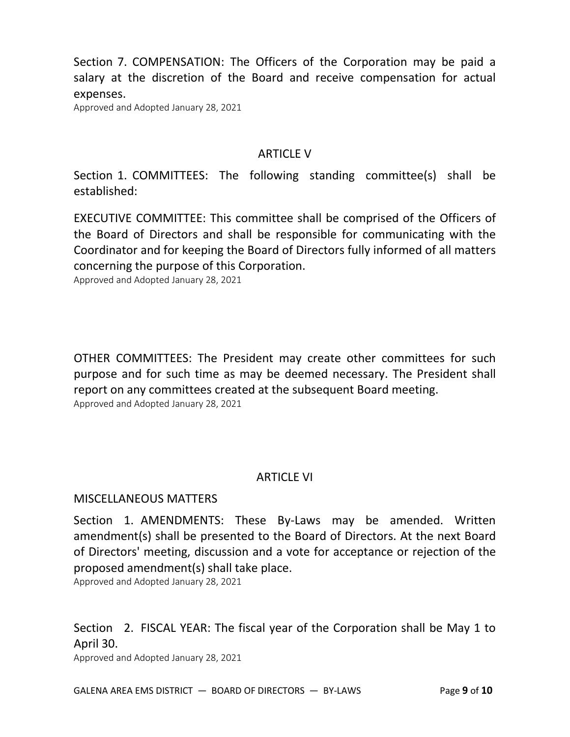Section 7. COMPENSATION: The Officers of the Corporation may be paid a salary at the discretion of the Board and receive compensation for actual expenses.

Approved and Adopted January 28, 2021

#### ARTICLE V

Section 1. COMMITTEES: The following standing committee(s) shall be established:

EXECUTIVE COMMITTEE: This committee shall be comprised of the Officers of the Board of Directors and shall be responsible for communicating with the Coordinator and for keeping the Board of Directors fully informed of all matters concerning the purpose of this Corporation.

Approved and Adopted January 28, 2021

OTHER COMMITTEES: The President may create other committees for such purpose and for such time as may be deemed necessary. The President shall report on any committees created at the subsequent Board meeting. Approved and Adopted January 28, 2021

### ARTICLE VI

#### MISCELLANEOUS MATTERS

Section 1. AMENDMENTS: These By-Laws may be amended. Written amendment(s) shall be presented to the Board of Directors. At the next Board of Directors' meeting, discussion and a vote for acceptance or rejection of the proposed amendment(s) shall take place.

Approved and Adopted January 28, 2021

Section 2. FISCAL YEAR: The fiscal year of the Corporation shall be May 1 to April 30.